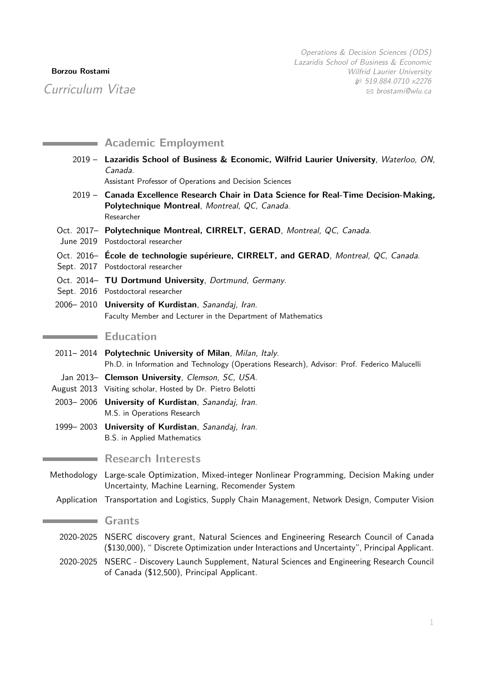# **Borzou Rostami**

Curriculum Vitae

|             | <b>Academic Employment</b>                                                                                                                                                           |
|-------------|--------------------------------------------------------------------------------------------------------------------------------------------------------------------------------------|
|             | 2019 - Lazaridis School of Business & Economic, Wilfrid Laurier University, Waterloo, ON,<br>Canada.<br>Assistant Professor of Operations and Decision Sciences                      |
|             | 2019 - Canada Excellence Research Chair in Data Science for Real-Time Decision-Making,<br>Polytechnique Montreal, Montreal, QC, Canada.<br>Researcher                                |
|             | Oct. 2017- Polytechnique Montreal, CIRRELT, GERAD, Montreal, QC, Canada.<br>June 2019 Postdoctoral researcher                                                                        |
|             | Oct. 2016- Ecole de technologie supérieure, CIRRELT, and GERAD, Montreal, QC, Canada.<br>Sept. 2017 Postdoctoral researcher                                                          |
|             | Oct. 2014- TU Dortmund University, Dortmund, Germany.<br>Sept. 2016 Postdoctoral researcher                                                                                          |
|             | 2006-2010 University of Kurdistan, Sanandaj, Iran.<br>Faculty Member and Lecturer in the Department of Mathematics                                                                   |
|             | <b>Education</b>                                                                                                                                                                     |
|             | 2011-2014 Polytechnic University of Milan, Milan, Italy.<br>Ph.D. in Information and Technology (Operations Research), Advisor: Prof. Federico Malucelli                             |
|             | Jan 2013- Clemson University, Clemson, SC, USA.<br>August 2013 Visiting scholar, Hosted by Dr. Pietro Belotti                                                                        |
|             | 2003-2006 University of Kurdistan, Sanandaj, Iran.<br>M.S. in Operations Research                                                                                                    |
|             | 1999–2003 University of Kurdistan, Sanandaj, Iran.<br>B.S. in Applied Mathematics                                                                                                    |
|             | <b>Research Interests</b>                                                                                                                                                            |
| Methodology | Large-scale Optimization, Mixed-integer Nonlinear Programming, Decision Making under<br>Uncertainty, Machine Learning, Recomender System                                             |
|             | Application Transportation and Logistics, Supply Chain Management, Network Design, Computer Vision                                                                                   |
|             | <b>Grants</b>                                                                                                                                                                        |
| 2020-2025   | NSERC discovery grant, Natural Sciences and Engineering Research Council of Canada<br>(\$130,000), " Discrete Optimization under Interactions and Uncertainty", Principal Applicant. |
| 2020-2025   | NSERC - Discovery Launch Supplement, Natural Sciences and Engineering Research Council<br>of Canada (\$12,500), Principal Applicant.                                                 |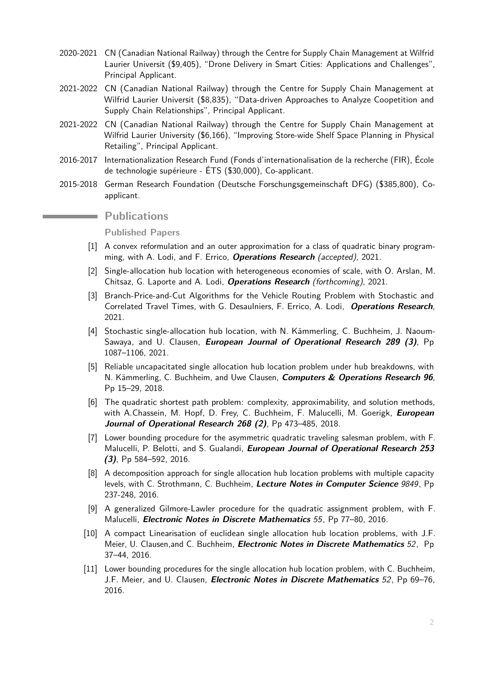- 2020-2021 CN (Canadian National Railway) through the Centre for Supply Chain Management at Wilfrid Laurier Universit (\$9,405), "Drone Delivery in Smart Cities: Applications and Challenges", Principal Applicant.
- 2021-2022 CN (Canadian National Railway) through the Centre for Supply Chain Management at Wilfrid Laurier Universit (\$8,835), "Data-driven Approaches to Analyze Coopetition and Supply Chain Relationships", Principal Applicant.
- 2021-2022 CN (Canadian National Railway) through the Centre for Supply Chain Management at Wilfrid Laurier University (\$6,166), "Improving Store-wide Shelf Space Planning in Physical Retailing", Principal Applicant.
- 2016-2017 Internationalization Research Fund (Fonds d'internationalisation de la recherche (FIR), École de technologie supérieure - ÉTS (\$30,000), Co-applicant.
- 2015-2018 German Research Foundation (Deutsche Forschungsgemeinschaft DFG) (\$385,800), Coapplicant.

# **Publications**

**Published Papers**

- [1] A convex reformulation and an outer approximation for a class of quadratic binary programming, with A. Lodi, and F. Errico, **Operations Research** (accepted), 2021.
- [2] Single-allocation hub location with heterogeneous economies of scale, with O. Arslan, M. Chitsaz, G. Laporte and A. Lodi, **Operations Research** (forthcoming), 2021.
- [3] Branch-Price-and-Cut Algorithms for the Vehicle Routing Problem with Stochastic and Correlated Travel Times, with G. Desaulniers, F. Errico, A. Lodi, **Operations Research**, 2021.
- [4] Stochastic single-allocation hub location, with N. Kämmerling, C. Buchheim, J. Naoum-Sawaya, and U. Clausen, **European Journal of Operational Research 289 (3)**, Pp 1087–1106, 2021.
- [5] Reliable uncapacitated single allocation hub location problem under hub breakdowns, with N. Kämmerling, C. Buchheim, and Uwe Clausen, **Computers & Operations Research 96**, Pp 15–29, 2018.
- [6] The quadratic shortest path problem: complexity, approximability, and solution methods, with A.Chassein, M. Hopf, D. Frey, C. Buchheim, F. Malucelli, M. Goerigk, **European Journal of Operational Research 268 (2)**, Pp 473–485, 2018.
- [7] Lower bounding procedure for the asymmetric quadratic traveling salesman problem, with F. Malucelli, P. Belotti, and S. Gualandi, **European Journal of Operational Research 253 (3)**, Pp 584–592, 2016.
- [8] A decomposition approach for single allocation hub location problems with multiple capacity levels, with C. Strothmann, C. Buchheim, **Lecture Notes in Computer Science** 9849, Pp 237-248, 2016.
- [9] A generalized Gilmore-Lawler procedure for the quadratic assignment problem, with F. Malucelli, **Electronic Notes in Discrete Mathematics** 55, Pp 77–80, 2016.
- [10] A compact Linearisation of euclidean single allocation hub location problems, with J.F. Meier, U. Clausen,and C. Buchheim, **Electronic Notes in Discrete Mathematics** 52, Pp 37–44, 2016.
- [11] Lower bounding procedures for the single allocation hub location problem, with C. Buchheim, J.F. Meier, and U. Clausen, **Electronic Notes in Discrete Mathematics** 52, Pp 69–76, 2016.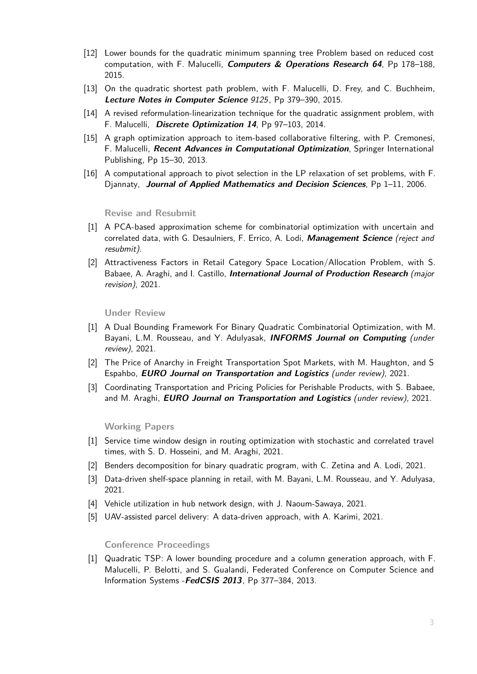- [12] Lower bounds for the quadratic minimum spanning tree Problem based on reduced cost computation, with F. Malucelli, **Computers & Operations Research 64**, Pp 178–188, 2015.
- [13] On the quadratic shortest path problem, with F. Malucelli, D. Frey, and C. Buchheim, **Lecture Notes in Computer Science** 9125, Pp 379–390, 2015.
- [14] A revised reformulation-linearization technique for the quadratic assignment problem, with F. Malucelli, **Discrete Optimization 14**, Pp 97–103, 2014.
- [15] A graph optimization approach to item-based collaborative filtering, with P. Cremonesi, F. Malucelli, **Recent Advances in Computational Optimization**, Springer International Publishing, Pp 15–30, 2013.
- [16] A computational approach to pivot selection in the LP relaxation of set problems, with F. Djannaty, **Journal of Applied Mathematics and Decision Sciences**, Pp 1–11, 2006.

#### **Revise and Resubmit**

- [1] A PCA-based approximation scheme for combinatorial optimization with uncertain and correlated data, with G. Desaulniers, F. Errico, A. Lodi, **Management Science** (reject and resubmit).
- [2] Attractiveness Factors in Retail Category Space Location/Allocation Problem, with S. Babaee, A. Araghi, and I. Castillo, **International Journal of Production Research** (major revision), 2021.

**Under Review**

- [1] A Dual Bounding Framework For Binary Quadratic Combinatorial Optimization, with M. Bayani, L.M. Rousseau, and Y. Adulyasak, **INFORMS Journal on Computing** (under review), 2021.
- [2] The Price of Anarchy in Freight Transportation Spot Markets, with M. Haughton, and S Espahbo, **EURO Journal on Transportation and Logistics** (under review), 2021.
- [3] Coordinating Transportation and Pricing Policies for Perishable Products, with S. Babaee, and M. Araghi, **EURO Journal on Transportation and Logistics** (under review), 2021.

**Working Papers**

- [1] Service time window design in routing optimization with stochastic and correlated travel times, with S. D. Hosseini, and M. Araghi, 2021.
- [2] Benders decomposition for binary quadratic program, with C. Zetina and A. Lodi, 2021.
- [3] Data-driven shelf-space planning in retail, with M. Bayani, L.M. Rousseau, and Y. Adulyasa, 2021.
- [4] Vehicle utilization in hub network design, with J. Naoum-Sawaya, 2021.
- [5] UAV-assisted parcel delivery: A data-driven approach, with A. Karimi, 2021.

#### **Conference Proceedings**

[1] Quadratic TSP: A lower bounding procedure and a column generation approach, with F. Malucelli, P. Belotti, and S. Gualandi, Federated Conference on Computer Science and Information Systems -**FedCSIS 2013**, Pp 377–384, 2013.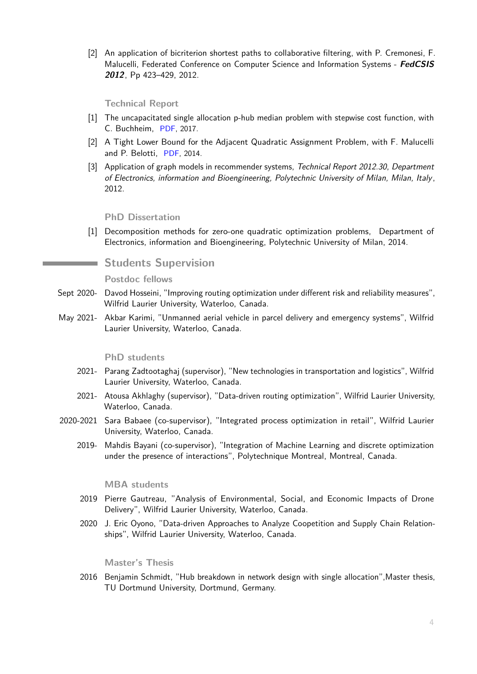[2] An application of bicriterion shortest paths to collaborative filtering, with P. Cremonesi, F. Malucelli, Federated Conference on Computer Science and Information Systems - **FedCSIS 2012**, Pp 423–429, 2012.

# **Technical Report**

- [1] The uncapacitated single allocation p-hub median problem with stepwise cost function, with C. Buchheim, [PDF,](http://www.optimization-online.org/DB_HTML/2015/07/5044.html) 2017.
- [2] A Tight Lower Bound for the Adjacent Quadratic Assignment Problem, with F. Malucelli and P. Belotti, [PDF,](http://www.optimization-online.org/DB_HTML/2014/09/4557.html) 2014.
- [3] Application of graph models in recommender systems, Technical Report 2012.30, Department of Electronics, information and Bioengineering, Polytechnic University of Milan, Milan, Italy , 2012.

## **PhD Dissertation**

[1] Decomposition methods for zero-one quadratic optimization problems, Department of Electronics, information and Bioengineering, Polytechnic University of Milan, 2014.

# **Students Supervision**

## **Postdoc fellows**

- Sept 2020- Davod Hosseini, "Improving routing optimization under different risk and reliability measures", Wilfrid Laurier University, Waterloo, Canada.
- May 2021- Akbar Karimi, "Unmanned aerial vehicle in parcel delivery and emergency systems", Wilfrid Laurier University, Waterloo, Canada.

#### **PhD students**

- 2021- Parang Zadtootaghaj (supervisor), "New technologies in transportation and logistics", Wilfrid Laurier University, Waterloo, Canada.
- 2021- Atousa Akhlaghy (supervisor), "Data-driven routing optimization", Wilfrid Laurier University, Waterloo, Canada.
- 2020-2021 Sara Babaee (co-supervisor), "Integrated process optimization in retail", Wilfrid Laurier University, Waterloo, Canada.
	- 2019- Mahdis Bayani (co-supervisor), "Integration of Machine Learning and discrete optimization under the presence of interactions", Polytechnique Montreal, Montreal, Canada.

#### **MBA students**

- 2019 Pierre Gautreau, "Analysis of Environmental, Social, and Economic Impacts of Drone Delivery", Wilfrid Laurier University, Waterloo, Canada.
- 2020 J. Eric Oyono, "Data-driven Approaches to Analyze Coopetition and Supply Chain Relationships", Wilfrid Laurier University, Waterloo, Canada.

#### **Master's Thesis**

2016 Benjamin Schmidt, "Hub breakdown in network design with single allocation",Master thesis, TU Dortmund University, Dortmund, Germany.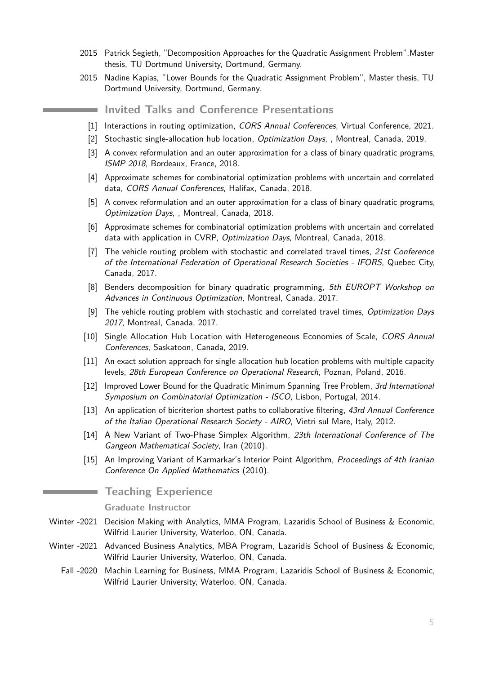- 2015 Patrick Segieth, "Decomposition Approaches for the Quadratic Assignment Problem",Master thesis, TU Dortmund University, Dortmund, Germany.
- 2015 Nadine Kapias, "Lower Bounds for the Quadratic Assignment Problem", Master thesis, TU Dortmund University, Dortmund, Germany.

**Invited Talks and Conference Presentations**

- [1] Interactions in routing optimization, CORS Annual Conferences, Virtual Conference, 2021.
- [2] Stochastic single-allocation hub location, Optimization Days, , Montreal, Canada, 2019.
- [3] A convex reformulation and an outer approximation for a class of binary quadratic programs, ISMP 2018, Bordeaux, France, 2018.
- [4] Approximate schemes for combinatorial optimization problems with uncertain and correlated data, CORS Annual Conferences, Halifax, Canada, 2018.
- [5] A convex reformulation and an outer approximation for a class of binary quadratic programs, Optimization Days, , Montreal, Canada, 2018.
- [6] Approximate schemes for combinatorial optimization problems with uncertain and correlated data with application in CVRP, Optimization Days, Montreal, Canada, 2018.
- $[7]$  The vehicle routing problem with stochastic and correlated travel times, 21st Conference of the International Federation of Operational Research Societies - IFORS, Quebec City, Canada, 2017.
- [8] Benders decomposition for binary quadratic programming, 5th EUROPT Workshop on Advances in Continuous Optimization, Montreal, Canada, 2017.
- [9] The vehicle routing problem with stochastic and correlated travel times, Optimization Days 2017, Montreal, Canada, 2017.
- [10] Single Allocation Hub Location with Heterogeneous Economies of Scale, CORS Annual Conferences, Saskatoon, Canada, 2019.
- [11] An exact solution approach for single allocation hub location problems with multiple capacity levels, 28th European Conference on Operational Research, Poznan, Poland, 2016.
- [12] Improved Lower Bound for the Quadratic Minimum Spanning Tree Problem, 3rd International Symposium on Combinatorial Optimization - ISCO, Lisbon, Portugal, 2014.
- [13] An application of bicriterion shortest paths to collaborative filtering, 43rd Annual Conference of the Italian Operational Research Society - AIRO, Vietri sul Mare, Italy, 2012.
- [14] A New Variant of Two-Phase Simplex Algorithm, 23th International Conference of The Gangeon Mathematical Society, Iran (2010).
- [15] An Improving Variant of Karmarkar's Interior Point Algorithm, Proceedings of 4th Iranian Conference On Applied Mathematics (2010).

# **Teaching Experience**

#### **Graduate Instructor**

- Winter -2021 Decision Making with Analytics, MMA Program, Lazaridis School of Business & Economic, Wilfrid Laurier University, Waterloo, ON, Canada.
- Winter -2021 Advanced Business Analytics, MBA Program, Lazaridis School of Business & Economic, Wilfrid Laurier University, Waterloo, ON, Canada.
	- Fall -2020 Machin Learning for Business, MMA Program, Lazaridis School of Business & Economic, Wilfrid Laurier University, Waterloo, ON, Canada.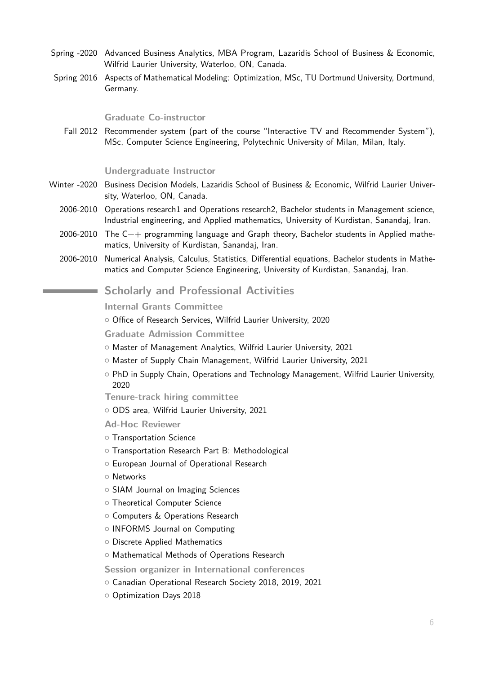- Spring -2020 Advanced Business Analytics, MBA Program, Lazaridis School of Business & Economic, Wilfrid Laurier University, Waterloo, ON, Canada.
- Spring 2016 Aspects of Mathematical Modeling: Optimization, MSc, TU Dortmund University, Dortmund, Germany.

# **Graduate Co-instructor**

Fall 2012 Recommender system (part of the course "Interactive TV and Recommender System"), MSc, Computer Science Engineering, Polytechnic University of Milan, Milan, Italy.

# **Undergraduate Instructor**

- Winter -2020 Business Decision Models, Lazaridis School of Business & Economic, Wilfrid Laurier University, Waterloo, ON, Canada.
	- 2006-2010 Operations research1 and Operations research2, Bachelor students in Management science, Industrial engineering, and Applied mathematics, University of Kurdistan, Sanandaj, Iran.
	- 2006-2010 The  $C_{++}$  programming language and Graph theory, Bachelor students in Applied mathematics, University of Kurdistan, Sanandaj, Iran.
	- 2006-2010 Numerical Analysis, Calculus, Statistics, Differential equations, Bachelor students in Mathematics and Computer Science Engineering, University of Kurdistan, Sanandaj, Iran.

# **Scholarly and Professional Activities**

# **Internal Grants Committee**

- o Office of Research Services, Wilfrid Laurier University, 2020
- **Graduate Admission Committee**
- { Master of Management Analytics, Wilfrid Laurier University, 2021
- o Master of Supply Chain Management, Wilfrid Laurier University, 2021
- $\circ$  PhD in Supply Chain, Operations and Technology Management, Wilfrid Laurier University, 2020

**Tenure-track hiring committee**

o ODS area, Wilfrid Laurier University, 2021

**Ad-Hoc Reviewer**

- $\circ$  Transportation Science
- o Transportation Research Part B: Methodological
- o European Journal of Operational Research
- **O** Networks
- o SIAM Journal on Imaging Sciences
- o Theoretical Computer Science
- o Computers & Operations Research
- o INFORMS Journal on Computing
- o Discrete Applied Mathematics
- o Mathematical Methods of Operations Research

**Session organizer in International conferences**

- O Canadian Operational Research Society 2018, 2019, 2021
- O Optimization Days 2018